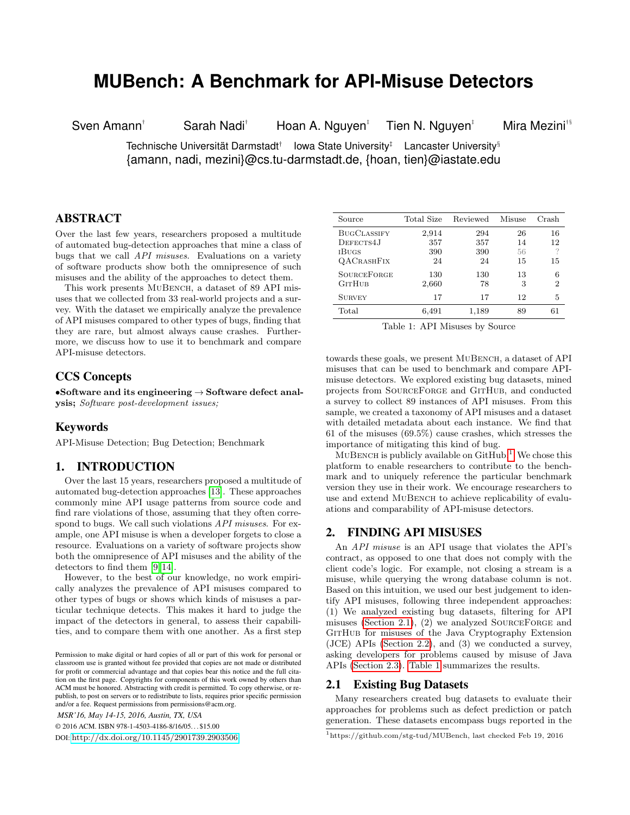# **MUBench: A Benchmark for API-Misuse Detectors**

Sven Amann†

Sarah Nadi<sup>†</sup> Hoan A. Nguyen<sup>‡</sup>

Tien N. Nguyen<sup>‡</sup> Mira Mezini<sup>†§</sup>

Technische Universität Darmstadt<sup>†</sup> lowa State University<sup>‡</sup> Lancaster University<sup>§</sup> {amann, nadi, mezini}@cs.tu-darmstadt.de, {hoan, tien}@iastate.edu

# ABSTRACT

Over the last few years, researchers proposed a multitude of automated bug-detection approaches that mine a class of bugs that we call API misuses. Evaluations on a variety of software products show both the omnipresence of such misuses and the ability of the approaches to detect them.

This work presents MUBENCH, a dataset of 89 API misuses that we collected from 33 real-world projects and a survey. With the dataset we empirically analyze the prevalence of API misuses compared to other types of bugs, finding that they are rare, but almost always cause crashes. Furthermore, we discuss how to use it to benchmark and compare API-misuse detectors.

## CCS Concepts

•Software and its engineering  $\rightarrow$  Software defect analysis; Software post-development issues;

#### **Keywords**

API-Misuse Detection; Bug Detection; Benchmark

#### 1. INTRODUCTION

Over the last 15 years, researchers proposed a multitude of automated bug-detection approaches [\[13\]](#page-3-0). These approaches commonly mine API usage patterns from source code and find rare violations of those, assuming that they often correspond to bugs. We call such violations API misuses. For example, one API misuse is when a developer forgets to close a resource. Evaluations on a variety of software projects show both the omnipresence of API misuses and the ability of the detectors to find them [\[9,](#page-3-1) [14\]](#page-3-2).

However, to the best of our knowledge, no work empirically analyzes the prevalence of API misuses compared to other types of bugs or shows which kinds of misuses a particular technique detects. This makes it hard to judge the impact of the detectors in general, to assess their capabilities, and to compare them with one another. As a first step

*MSR'16, May 14-15, 2016, Austin, TX, USA*

© 2016 ACM. ISBN 978-1-4503-4186-8/16/05. . . \$15.00

DOI: <http://dx.doi.org/10.1145/2901739.2903506>

<span id="page-0-2"></span>

| Source             | Total Size | Reviewed | Misuse | Crash          |
|--------------------|------------|----------|--------|----------------|
| <b>BUGCLASSIFY</b> | 2,914      | 294      | 26     | 16             |
| DEFECTS4J          | 357        | 357      | 14     | 12             |
| <b>IBUGS</b>       | 390        | 390      | 56     | ?              |
| <b>QACRASHFIX</b>  | 24         | 24       | 15     | 15             |
| <b>SOURCEFORGE</b> | 130        | 130      | 13     | 6              |
| <b>GITHUB</b>      | 2,660      | 78       | 3      | $\overline{2}$ |
| <b>SURVEY</b>      | 17         | 17       | 12     | 5              |
| Total              | 6,491      | 1,189    | 89     | 61             |

Table 1: API Misuses by Source

towards these goals, we present MUBENCH, a dataset of API misuses that can be used to benchmark and compare APImisuse detectors. We explored existing bug datasets, mined projects from SourceForge and GitHub, and conducted a survey to collect 89 instances of API misuses. From this sample, we created a taxonomy of API misuses and a dataset with detailed metadata about each instance. We find that 61 of the misuses (69.5%) cause crashes, which stresses the importance of mitigating this kind of bug.

 $MUBENCH$  is publicly available on  $GitHub.<sup>1</sup>$  $GitHub.<sup>1</sup>$  $GitHub.<sup>1</sup>$  We chose this platform to enable researchers to contribute to the benchmark and to uniquely reference the particular benchmark version they use in their work. We encourage researchers to use and extend MUBENCH to achieve replicability of evaluations and comparability of API-misuse detectors.

## 2. FINDING API MISUSES

An API misuse is an API usage that violates the API's contract, as opposed to one that does not comply with the client code's logic. For example, not closing a stream is a misuse, while querying the wrong database column is not. Based on this intuition, we used our best judgement to identify API misuses, following three independent approaches: (1) We analyzed existing bug datasets, filtering for API misuses [\(Section 2.1\)](#page-0-1), (2) we analyzed SourceForge and GITHUB for misuses of the Java Cryptography Extension (JCE) APIs [\(Section 2.2\)](#page-1-0), and (3) we conducted a survey, asking developers for problems caused by misuse of Java APIs [\(Section 2.3\)](#page-1-1). [Table 1](#page-0-2) summarizes the results.

### <span id="page-0-1"></span>2.1 Existing Bug Datasets

Many researchers created bug datasets to evaluate their approaches for problems such as defect prediction or patch generation. These datasets encompass bugs reported in the

Permission to make digital or hard copies of all or part of this work for personal or classroom use is granted without fee provided that copies are not made or distributed for profit or commercial advantage and that copies bear this notice and the full citation on the first page. Copyrights for components of this work owned by others than ACM must be honored. Abstracting with credit is permitted. To copy otherwise, or republish, to post on servers or to redistribute to lists, requires prior specific permission and/or a fee. Request permissions from permissions@acm.org.

<span id="page-0-0"></span><sup>1</sup>https://github.com/stg-tud/MUBench, last checked Feb 19, 2016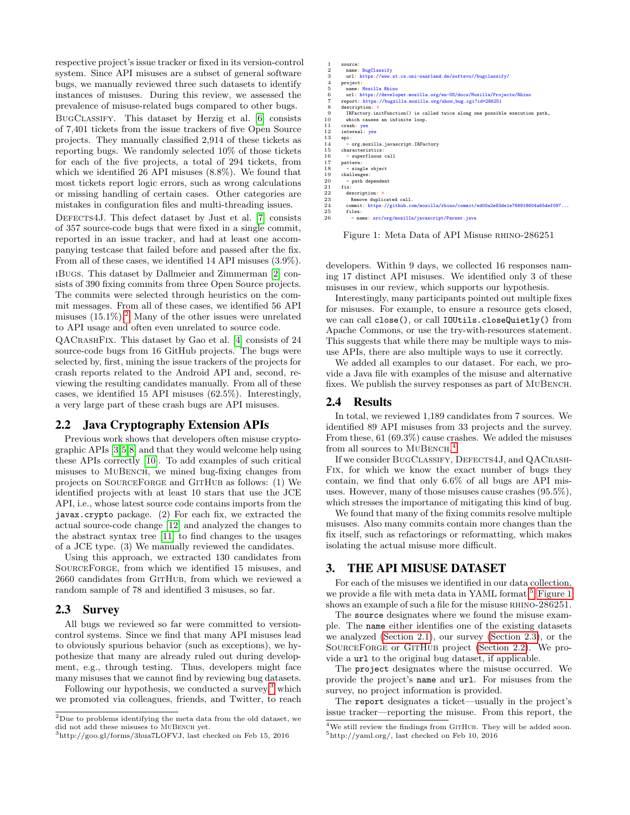respective project's issue tracker or fixed in its version-control system. Since API misuses are a subset of general software bugs, we manually reviewed three such datasets to identify instances of misuses. During this review, we assessed the prevalence of misuse-related bugs compared to other bugs.

BugClassify. This dataset by Herzig et al. [\[6\]](#page-3-3) consists of 7,401 tickets from the issue trackers of five Open Source projects. They manually classified 2,914 of these tickets as reporting bugs. We randomly selected 10% of those tickets for each of the five projects, a total of 294 tickets, from which we identified 26 API misuses (8.8%). We found that most tickets report logic errors, such as wrong calculations or missing handling of certain cases. Other categories are mistakes in configuration files and multi-threading issues.

DEFECTS4J. This defect dataset by Just et al. [\[7\]](#page-3-4) consists of 357 source-code bugs that were fixed in a single commit, reported in an issue tracker, and had at least one accompanying testcase that failed before and passed after the fix. From all of these cases, we identified 14 API misuses (3.9%). iBugs. This dataset by Dallmeier and Zimmerman [\[2\]](#page-3-5) consists of 390 fixing commits from three Open Source projects. The commits were selected through heuristics on the commit messages. From all of these cases, we identified 56 API misuses  $(15.1\%)$ .<sup>[2](#page-1-2)</sup> Many of the other issues were unrelated to API usage and often even unrelated to source code.

QACrashFix. This dataset by Gao et al. [\[4\]](#page-3-6) consists of 24 source-code bugs from 16 GitHub projects. The bugs were selected by, first, mining the issue trackers of the projects for crash reports related to the Android API and, second, reviewing the resulting candidates manually. From all of these cases, we identified 15 API misuses (62.5%). Interestingly, a very large part of these crash bugs are API misuses.

#### <span id="page-1-0"></span>2.2 Java Cryptography Extension APIs

Previous work shows that developers often misuse cryptographic APIs [\[3,](#page-3-7)[5,](#page-3-8)[8\]](#page-3-9) and that they would welcome help using these APIs correctly [\[10\]](#page-3-10). To add examples of such critical misuses to MuBench, we mined bug-fixing changes from projects on SourceForge and GitHub as follows: (1) We identified projects with at least 10 stars that use the JCE API, i.e., whose latest source code contains imports from the javax.crypto package. (2) For each fix, we extracted the actual source-code change [\[12\]](#page-3-11) and analyzed the changes to the abstract syntax tree [\[11\]](#page-3-12) to find changes to the usages of a JCE type. (3) We manually reviewed the candidates.

Using this approach, we extracted 130 candidates from SOURCEFORGE, from which we identified 15 misuses, and 2660 candidates from GITHUB, from which we reviewed a random sample of 78 and identified 3 misuses, so far.

## <span id="page-1-1"></span>2.3 Survey

All bugs we reviewed so far were committed to versioncontrol systems. Since we find that many API misuses lead to obviously spurious behavior (such as exceptions), we hypothesize that many are already ruled out during development, e.g., through testing. Thus, developers might face many misuses that we cannot find by reviewing bug datasets.

Following our hypothesis, we conducted a survey, $3$  which we promoted via colleagues, friends, and Twitter, to reach

<span id="page-1-6"></span>

| 1              | source:                                                                         |
|----------------|---------------------------------------------------------------------------------|
| $\overline{2}$ | name: BugClassify                                                               |
| 3              | url: https://www.st.cs.uni-saarland.de/softevo//bugclassify/                    |
| $\overline{4}$ | project:                                                                        |
| 5              | name: Mozilla Rhino                                                             |
| 6              | url: https://developer.mozilla.org/en-US/docs/Mozilla/Projects/Rhino            |
| $\overline{7}$ | report: https://bugzilla.mozilla.org/show_bug.cgi?id=286251                     |
| 8              | description: >                                                                  |
| 9              | IRFactory.initFunction() is called twice along one possible execution path,     |
| 10             | which causes an infinite loop.                                                  |
| 11             | crash: yes                                                                      |
| 12             | internal: yes                                                                   |
| 13             | api:                                                                            |
| 14             | - org.mozilla.javascript.IRFactory                                              |
| 15             | characteristics:                                                                |
| 16             | - superfluous call                                                              |
| 17             | pattern:                                                                        |
| 18             | - single object                                                                 |
| 19             | challenges:                                                                     |
| 20             | - path dependent                                                                |
| 21             | fixt                                                                            |
| $^{22}$        | description: >                                                                  |
| 23             | Remove duplicated call.                                                         |
| 24             | commit: https://github.com/mozilla/rhino/commit/ed00a2e83de1e768918604a65def097 |
| 25             | files:                                                                          |
| 26             | - name: src/org/mozilla/javascript/Parser.java                                  |

Figure 1: Meta Data of API Misuse RHINO-286251

developers. Within 9 days, we collected 16 responses naming 17 distinct API misuses. We identified only 3 of these misuses in our review, which supports our hypothesis.

Interestingly, many participants pointed out multiple fixes for misuses. For example, to ensure a resource gets closed, we can call close(), or call IOUtils.closeQuietly() from Apache Commons, or use the try-with-resources statement. This suggests that while there may be multiple ways to misuse APIs, there are also multiple ways to use it correctly.

We added all examples to our dataset. For each, we provide a Java file with examples of the misuse and alternative fixes. We publish the survey responses as part of MuBench.

#### <span id="page-1-7"></span>2.4 Results

In total, we reviewed 1,189 candidates from 7 sources. We identified 89 API misuses from 33 projects and the survey. From these, 61 (69.3%) cause crashes. We added the misuses from all sources to MUBENCH.<sup>[4](#page-1-4)</sup>

If we consider BUGCLASSIFY, DEFECTS4J, and QACRASH-Fix, for which we know the exact number of bugs they contain, we find that only 6.6% of all bugs are API misuses. However, many of those misuses cause crashes (95.5%), which stresses the importance of mitigating this kind of bug.

We found that many of the fixing commits resolve multiple misuses. Also many commits contain more changes than the fix itself, such as refactorings or reformatting, which makes isolating the actual misuse more difficult.

## 3. THE API MISUSE DATASET

For each of the misuses we identified in our data collection, we provide a file with meta data in YAML format.<sup>[5](#page-1-5)</sup> [Figure 1](#page-1-6) shows an example of such a file for the misuse RHINO-286251.

The source designates where we found the misuse example. The name either identifies one of the existing datasets we analyzed [\(Section 2.1\)](#page-0-1), our survey [\(Section 2.3\)](#page-1-1), or the SOURCEFORGE or GITHUB project [\(Section 2.2\)](#page-1-0). We provide a url to the original bug dataset, if applicable.

The project designates where the misuse occurred. We provide the project's name and url. For misuses from the survey, no project information is provided.

The report designates a ticket—usually in the project's issue tracker—reporting the misuse. From this report, the

<span id="page-1-2"></span> $2$ Due to problems identifying the meta data from the old dataset, we did not add these misuses to MUBENCH yet.

<span id="page-1-3"></span><sup>3</sup>http://goo.gl/forms/3hua7LOFVJ, last checked on Feb 15, 2016

<span id="page-1-5"></span><span id="page-1-4"></span> $4$ We still review the findings from GITHUB. They will be added soon.  $5$ http://yaml.org/, last checked on Feb 10, 2016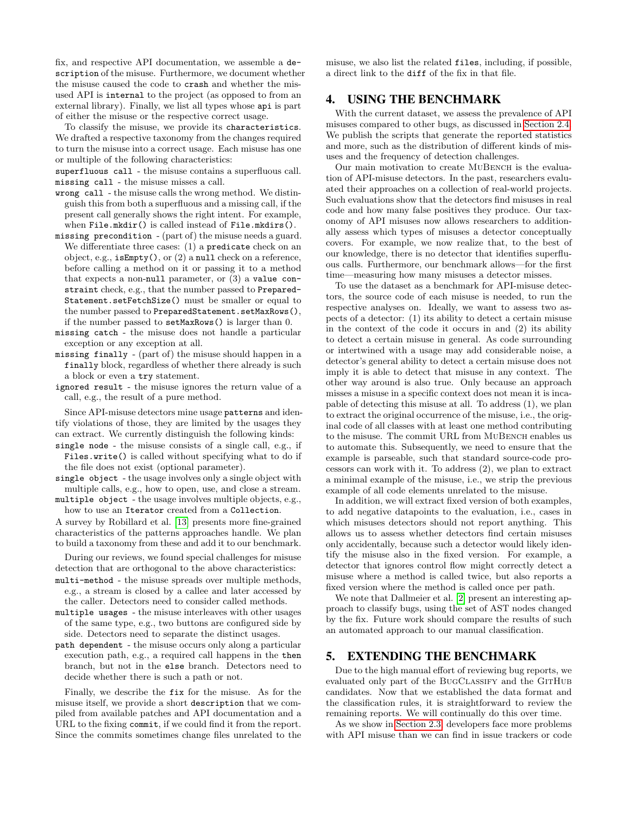fix, and respective API documentation, we assemble a description of the misuse. Furthermore, we document whether the misuse caused the code to crash and whether the misused API is internal to the project (as opposed to from an external library). Finally, we list all types whose api is part of either the misuse or the respective correct usage.

To classify the misuse, we provide its characteristics. We drafted a respective taxonomy from the changes required to turn the misuse into a correct usage. Each misuse has one or multiple of the following characteristics:

superfluous call - the misuse contains a superfluous call. missing call - the misuse misses a call.

- wrong call the misuse calls the wrong method. We distinguish this from both a superfluous and a missing call, if the present call generally shows the right intent. For example, when File.mkdir() is called instead of File.mkdirs().
- missing precondition (part of) the misuse needs a guard. We differentiate three cases: (1) a predicate check on an object, e.g., isEmpty(), or (2) a null check on a reference, before calling a method on it or passing it to a method that expects a non-null parameter, or  $(3)$  a value constraint check, e.g., that the number passed to Prepared-Statement.setFetchSize() must be smaller or equal to the number passed to PreparedStatement.setMaxRows(), if the number passed to setMaxRows() is larger than 0.
- missing catch the misuse does not handle a particular exception or any exception at all.
- missing finally (part of) the misuse should happen in a finally block, regardless of whether there already is such a block or even a try statement.
- ignored result the misuse ignores the return value of a call, e.g., the result of a pure method.

Since API-misuse detectors mine usage patterns and identify violations of those, they are limited by the usages they can extract. We currently distinguish the following kinds:

single node - the misuse consists of a single call, e.g., if Files.write() is called without specifying what to do if the file does not exist (optional parameter).

single object - the usage involves only a single object with multiple calls, e.g., how to open, use, and close a stream.

multiple object - the usage involves multiple objects, e.g., how to use an Iterator created from a Collection.

A survey by Robillard et al. [\[13\]](#page-3-0) presents more fine-grained characteristics of the patterns approaches handle. We plan to build a taxonomy from these and add it to our benchmark.

During our reviews, we found special challenges for misuse detection that are orthogonal to the above characteristics:

multi-method - the misuse spreads over multiple methods, e.g., a stream is closed by a callee and later accessed by the caller. Detectors need to consider called methods.

multiple usages - the misuse interleaves with other usages of the same type, e.g., two buttons are configured side by side. Detectors need to separate the distinct usages.

path dependent - the misuse occurs only along a particular execution path, e.g., a required call happens in the then branch, but not in the else branch. Detectors need to decide whether there is such a path or not.

Finally, we describe the fix for the misuse. As for the misuse itself, we provide a short description that we compiled from available patches and API documentation and a URL to the fixing commit, if we could find it from the report. Since the commits sometimes change files unrelated to the misuse, we also list the related files, including, if possible, a direct link to the diff of the fix in that file.

## 4. USING THE BENCHMARK

With the current dataset, we assess the prevalence of API misuses compared to other bugs, as discussed in [Section 2.4.](#page-1-7) We publish the scripts that generate the reported statistics and more, such as the distribution of different kinds of misuses and the frequency of detection challenges.

Our main motivation to create MUBENCH is the evaluation of API-misuse detectors. In the past, researchers evaluated their approaches on a collection of real-world projects. Such evaluations show that the detectors find misuses in real code and how many false positives they produce. Our taxonomy of API misuses now allows researchers to additionally assess which types of misuses a detector conceptually covers. For example, we now realize that, to the best of our knowledge, there is no detector that identifies superfluous calls. Furthermore, our benchmark allows—for the first time—measuring how many misuses a detector misses.

To use the dataset as a benchmark for API-misuse detectors, the source code of each misuse is needed, to run the respective analyses on. Ideally, we want to assess two aspects of a detector: (1) its ability to detect a certain misuse in the context of the code it occurs in and (2) its ability to detect a certain misuse in general. As code surrounding or intertwined with a usage may add considerable noise, a detector's general ability to detect a certain misuse does not imply it is able to detect that misuse in any context. The other way around is also true. Only because an approach misses a misuse in a specific context does not mean it is incapable of detecting this misuse at all. To address (1), we plan to extract the original occurrence of the misuse, i.e., the original code of all classes with at least one method contributing to the misuse. The commit URL from MUBENCH enables us to automate this. Subsequently, we need to ensure that the example is parseable, such that standard source-code processors can work with it. To address (2), we plan to extract a minimal example of the misuse, i.e., we strip the previous example of all code elements unrelated to the misuse.

In addition, we will extract fixed version of both examples, to add negative datapoints to the evaluation, i.e., cases in which misuses detectors should not report anything. This allows us to assess whether detectors find certain misuses only accidentally, because such a detector would likely identify the misuse also in the fixed version. For example, a detector that ignores control flow might correctly detect a misuse where a method is called twice, but also reports a fixed version where the method is called once per path.

We note that Dallmeier et al. [\[2\]](#page-3-5) present an interesting approach to classify bugs, using the set of AST nodes changed by the fix. Future work should compare the results of such an automated approach to our manual classification.

# 5. EXTENDING THE BENCHMARK

Due to the high manual effort of reviewing bug reports, we evaluated only part of the BUGCLASSIFY and the GITHUB candidates. Now that we established the data format and the classification rules, it is straightforward to review the remaining reports. We will continually do this over time.

As we show in [Section 2.3,](#page-1-1) developers face more problems with API misuse than we can find in issue trackers or code